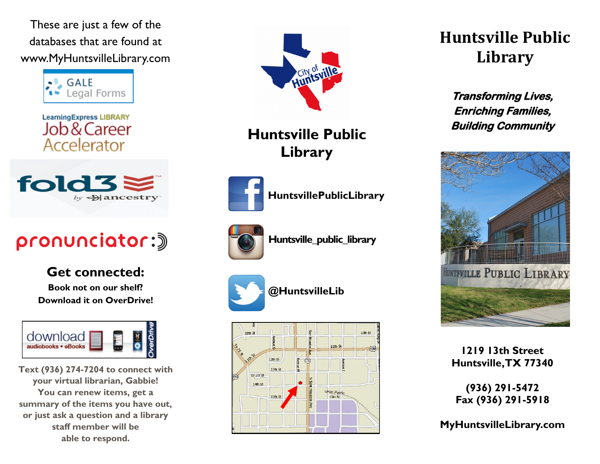These are just a few of the databases that are found at www.MyHuntsvilleLibrary.com



**LearningExpress LIBRARY** Job & Career Accelerator



# pronunciator:)

**Get connected: Book not on our shelf? Download it on OverDrive!**



**Text (936) 274-7204 to connect with your virtual librarian, Gabbie! You can renew items, get a summary of the items you have out, or just ask a question and a library staff member will be able to respond.**



### **Huntsville Public Library**



**HuntsvillePublicLibrary**



**Huntsville\_public\_library**



**@HuntsvilleLib**



## **Huntsville Public Library**

**Transforming Lives, Enriching Families, Building Community** 



**1219 13th Street Huntsville, TX 77340**

**(936) 291-5472 Fax (936) 291-5918**

**MyHuntsvilleLibrary.com**